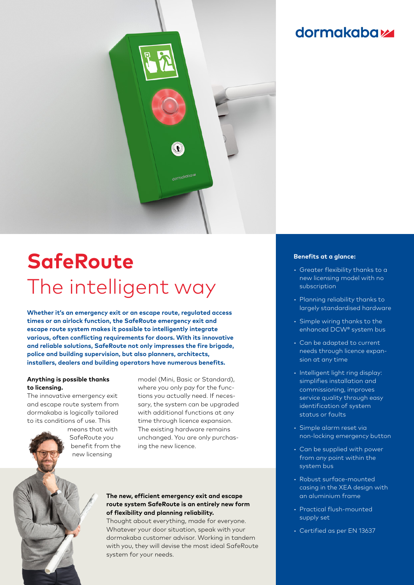

# **SafeRoute** The intelligent way

**Whether it's an emergency exit or an escape route, regulated access times or an airlock function, the SafeRoute emergency exit and escape route system makes it possible to intelligently integrate various, often conflicting requirements for doors. With its innovative and reliable solutions, SafeRoute not only impresses the fire brigade, police and building supervision, but also planners, architects, installers, dealers and building operators have numerous benefits.**

### **Anything is possible thanks to licensing.**

The innovative emergency exit and escape route system from dormakaba is logically tailored to its conditions of use. This

> means that with SafeRoute you benefit from the new licensing

model (Mini, Basic or Standard), where you only pay for the functions you actually need. If necessary, the system can be upgraded with additional functions at any time through licence expansion. The existing hardware remains unchanged. You are only purchasing the new licence.

## **The new, efficient emergency exit and escape route system SafeRoute is an entirely new form of flexibility and planning reliability.**

Thought about everything, made for everyone. Whatever your door situation, speak with your dormakaba customer advisor. Working in tandem with you, they will devise the most ideal SafeRoute system for your needs.

# **dormakabazz**

#### **Benefits at a glance:**

- Greater flexibility thanks to a new licensing model with no subscription
- Planning reliability thanks to largely standardised hardware
- Simple wiring thanks to the enhanced DCW® system bus
- Can be adapted to current needs through licence expansion at any time
- Intelligent light ring display: simplifies installation and commissioning, improves service quality through easy identification of system status or faults
- Simple alarm reset via non-locking emergency button
- Can be supplied with power from any point within the system bus
- Robust surface-mounted casing in the XEA design with an aluminium frame
- Practical flush-mounted supply set
- Certified as per EN 13637